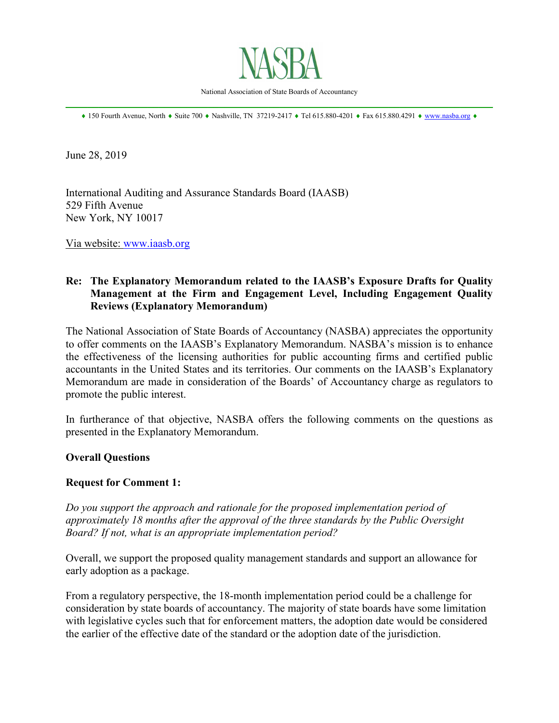

National Association of State Boards of Accountancy \_\_\_\_\_\_\_\_\_\_\_\_\_\_\_\_\_\_\_\_\_\_\_\_\_\_\_\_\_\_\_\_\_\_\_\_\_\_\_\_\_\_\_\_\_\_\_\_\_\_\_\_\_\_\_\_\_\_\_\_\_\_\_\_\_\_\_\_\_\_\_\_\_\_\_\_\_\_

♦ 150 Fourth Avenue, North ♦ Suite 700 ♦ Nashville, TN 37219-2417 ♦ Tel 615.880-4201 ♦ Fax 615.880.4291 ♦ [www.nasba.org](http://www.nasba.org/) ♦

June 28, 2019

International Auditing and Assurance Standards Board (IAASB) 529 Fifth Avenue New York, NY 10017

Via website: [www.iaasb.org](http://www.iaasb.org/)

# **Re: The Explanatory Memorandum related to the IAASB's Exposure Drafts for Quality Management at the Firm and Engagement Level, Including Engagement Quality Reviews (Explanatory Memorandum)**

The National Association of State Boards of Accountancy (NASBA) appreciates the opportunity to offer comments on the IAASB's Explanatory Memorandum. NASBA's mission is to enhance the effectiveness of the licensing authorities for public accounting firms and certified public accountants in the United States and its territories. Our comments on the IAASB's Explanatory Memorandum are made in consideration of the Boards' of Accountancy charge as regulators to promote the public interest.

In furtherance of that objective, NASBA offers the following comments on the questions as presented in the Explanatory Memorandum.

### **Overall Questions**

### **Request for Comment 1:**

*Do you support the approach and rationale for the proposed implementation period of approximately 18 months after the approval of the three standards by the Public Oversight Board? If not, what is an appropriate implementation period?*

Overall, we support the proposed quality management standards and support an allowance for early adoption as a package.

From a regulatory perspective, the 18-month implementation period could be a challenge for consideration by state boards of accountancy. The majority of state boards have some limitation with legislative cycles such that for enforcement matters, the adoption date would be considered the earlier of the effective date of the standard or the adoption date of the jurisdiction.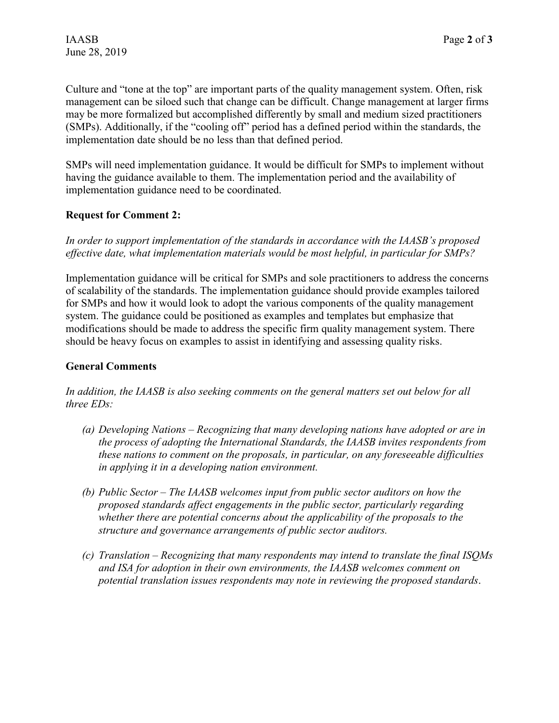Culture and "tone at the top" are important parts of the quality management system. Often, risk management can be siloed such that change can be difficult. Change management at larger firms may be more formalized but accomplished differently by small and medium sized practitioners (SMPs). Additionally, if the "cooling off" period has a defined period within the standards, the implementation date should be no less than that defined period.

SMPs will need implementation guidance. It would be difficult for SMPs to implement without having the guidance available to them. The implementation period and the availability of implementation guidance need to be coordinated.

# **Request for Comment 2:**

*In order to support implementation of the standards in accordance with the IAASB's proposed effective date, what implementation materials would be most helpful, in particular for SMPs?*

Implementation guidance will be critical for SMPs and sole practitioners to address the concerns of scalability of the standards. The implementation guidance should provide examples tailored for SMPs and how it would look to adopt the various components of the quality management system. The guidance could be positioned as examples and templates but emphasize that modifications should be made to address the specific firm quality management system. There should be heavy focus on examples to assist in identifying and assessing quality risks.

## **General Comments**

*In addition, the IAASB is also seeking comments on the general matters set out below for all three EDs:*

- *(a) Developing Nations – Recognizing that many developing nations have adopted or are in the process of adopting the International Standards, the IAASB invites respondents from these nations to comment on the proposals, in particular, on any foreseeable difficulties in applying it in a developing nation environment.*
- *(b) Public Sector – The IAASB welcomes input from public sector auditors on how the proposed standards affect engagements in the public sector, particularly regarding whether there are potential concerns about the applicability of the proposals to the structure and governance arrangements of public sector auditors.*
- *(c) Translation – Recognizing that many respondents may intend to translate the final ISQMs and ISA for adoption in their own environments, the IAASB welcomes comment on potential translation issues respondents may note in reviewing the proposed standards*.